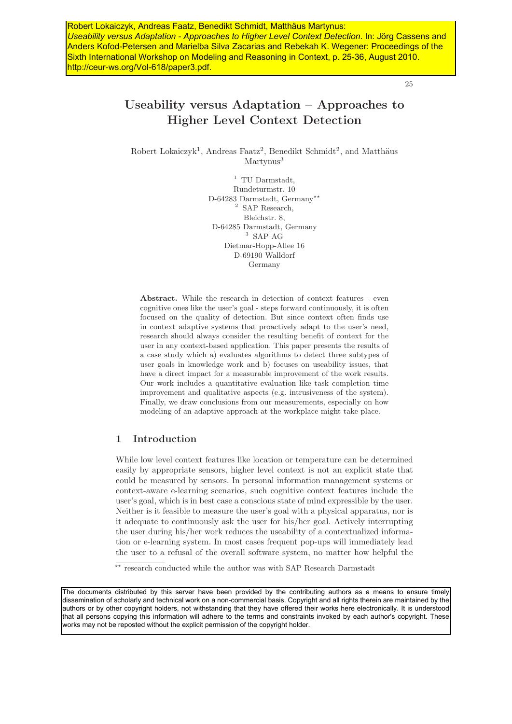Robert Lokaiczyk, Andreas Faatz, Benedikt Schmidt, Matthäus Martynus: *Useability versus Adaptation - Approaches to Higher Level Context Detection*. In: Jörg Cassens and Anders Kofod-Petersen and Marielba Silva Zacarias and Rebekah K. Wegener: Proceedings of the Sixth International Workshop on Modeling and Reasoning in Context, p. 25-36, August 2010. http://ceur-ws.org/Vol-618/paper3.pdf.

25

# **Useability versus Adaptation – Approaches to Higher Level Context Detection**

Robert Lokaiczyk<sup>1</sup>, Andreas Faatz<sup>2</sup>, Benedikt Schmidt<sup>2</sup>, and Matthäus Martynus<sup>3</sup>

> $^1\,$  TU Darmstadt, Rundeturmstr. 10 D-64283 Darmstadt, Germany\*\* <sup>2</sup> SAP Research, Bleichstr. 8, D-64285 Darmstadt, Germany <sup>3</sup> SAP AG Dietmar-Hopp-Allee 16 D-69190 Walldorf Germany

**Abstract.** While the research in detection of context features - even cognitive ones like the user's goal - steps forward continuously, it is often focused on the quality of detection. But since context often finds use in context adaptive systems that proactively adapt to the user's need, research should always consider the resulting benefit of context for the user in any context-based application. This paper presents the results of a case study which a) evaluates algorithms to detect three subtypes of user goals in knowledge work and b) focuses on useability issues, that have a direct impact for a measurable improvement of the work results. Our work includes a quantitative evaluation like task completion time improvement and qualitative aspects (e.g. intrusiveness of the system). Finally, we draw conclusions from our measurements, especially on how modeling of an adaptive approach at the workplace might take place.

# **1 Introduction**

While low level context features like location or temperature can be determined easily by appropriate sensors, higher level context is not an explicit state that could be measured by sensors. In personal information management systems or context-aware e-learning scenarios, such cognitive context features include the user's goal, which is in best case a conscious state of mind expressible by the user. Neither is it feasible to measure the user's goal with a physical apparatus, nor is it adequate to continuously ask the user for his/her goal. Actively interrupting the user during his/her work reduces the useability of a contextualized information or e-learning system. In most cases frequent pop-ups will immediately lead the user to a refusal of the overall software system, no matter how helpful the

\*\* research conducted while the author was with SAP Research Darmstadt

The documents distributed by this server have been provided by the contributing authors as a means to ensure timely dissemination of scholarly and technical work on a non-commercial basis. Copyright and all rights therein are maintained by the authors or by other copyright holders, not withstanding that they have offered their works here electronically. It is understood that all persons copying this information will adhere to the terms and constraints invoked by each author's copyright. These works may not be reposted without the explicit permission of the copyright holder.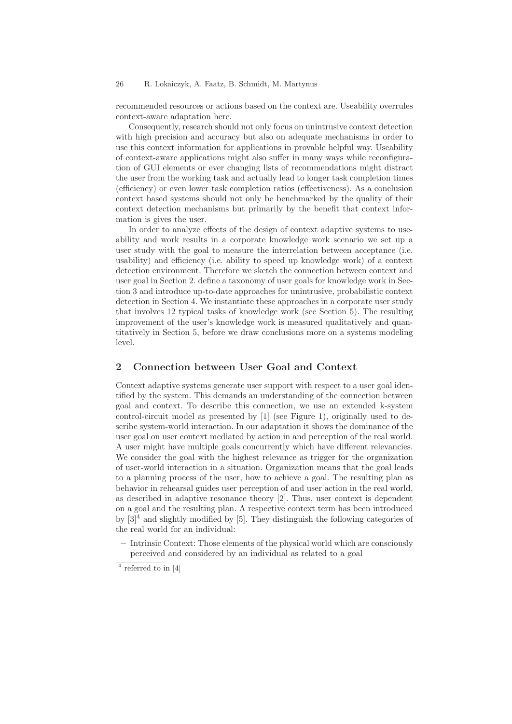#### 26 R. Lokaiczyk, A. Faatz, B. Schmidt, M. Martynus

recommended resources or actions based on the context are. Useability overrules context-aware adaptation here.

Consequently, research should not only focus on unintrusive context detection with high precision and accuracy but also on adequate mechanisms in order to use this context information for applications in provable helpful way. Useability of context-aware applications might also suffer in many ways while reconfiguration of GUI elements or ever changing lists of recommendations might distract the user from the working task and actually lead to longer task completion times (efficiency) or even lower task completion ratios (effectiveness). As a conclusion context based systems should not only be benchmarked by the quality of their context detection mechanisms but primarily by the benefit that context information is gives the user.

In order to analyze effects of the design of context adaptive systems to useability and work results in a corporate knowledge work scenario we set up a user study with the goal to measure the interrelation between acceptance (i.e. usability) and efficiency (i.e. ability to speed up knowledge work) of a context detection environment. Therefore we sketch the connection between context and user goal in Section 2. define a taxonomy of user goals for knowledge work in Section 3 and introduce up-to-date approaches for unintrusive, probabilistic context detection in Section 4. We instantiate these approaches in a corporate user study that involves 12 typical tasks of knowledge work (see Section 5). The resulting improvement of the user's knowledge work is measured qualitatively and quantitatively in Section 5, before we draw conclusions more on a systems modeling level.

# **2 Connection between User Goal and Context**

Context adaptive systems generate user support with respect to a user goal identified by the system. This demands an understanding of the connection between goal and context. To describe this connection, we use an extended k-system control-circuit model as presented by [1] (see Figure 1), originally used to describe system-world interaction. In our adaptation it shows the dominance of the user goal on user context mediated by action in and perception of the real world. A user might have multiple goals concurrently which have different relevancies. We consider the goal with the highest relevance as trigger for the organization of user-world interaction in a situation. Organization means that the goal leads to a planning process of the user, how to achieve a goal. The resulting plan as behavior in rehearsal guides user perception of and user action in the real world, as described in adaptive resonance theory [2]. Thus, user context is dependent on a goal and the resulting plan. A respective context term has been introduced by  $[3]^4$  and slightly modified by [5]. They distinguish the following categories of the real world for an individual:

**<sup>–</sup>** Intrinsic Context: Those elements of the physical world which are consciously perceived and considered by an individual as related to a goal

 $4$  referred to in [4]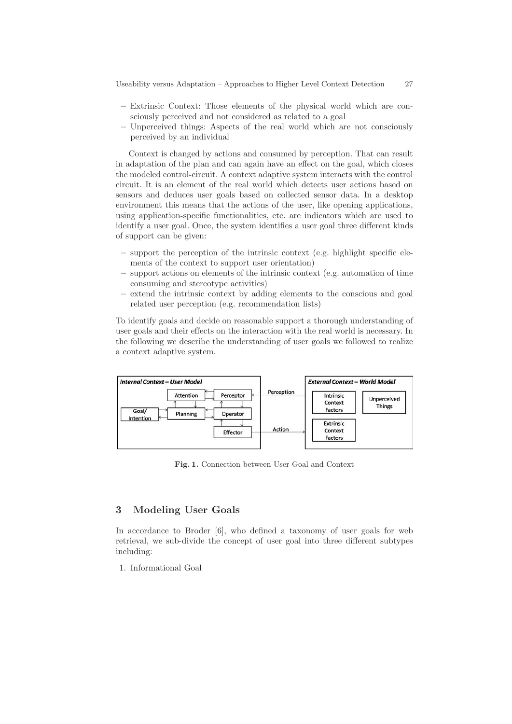Useability versus Adaptation – Approaches to Higher Level Context Detection 27

- **–** Extrinsic Context: Those elements of the physical world which are consciously perceived and not considered as related to a goal
- **–** Unperceived things: Aspects of the real world which are not consciously perceived by an individual

Context is changed by actions and consumed by perception. That can result in adaptation of the plan and can again have an effect on the goal, which closes the modeled control-circuit. A context adaptive system interacts with the control circuit. It is an element of the real world which detects user actions based on sensors and deduces user goals based on collected sensor data. In a desktop environment this means that the actions of the user, like opening applications, using application-specific functionalities, etc. are indicators which are used to identify a user goal. Once, the system identifies a user goal three different kinds of support can be given:

- **–** support the perception of the intrinsic context (e.g. highlight specific elements of the context to support user orientation)
- **–** support actions on elements of the intrinsic context (e.g. automation of time consuming and stereotype activities)
- **–** extend the intrinsic context by adding elements to the conscious and goal related user perception (e.g. recommendation lists)

To identify goals and decide on reasonable support a thorough understanding of user goals and their effects on the interaction with the real world is necessary. In the following we describe the understanding of user goals we followed to realize a context adaptive system.



**Fig. 1.** Connection between User Goal and Context

## **3 Modeling User Goals**

In accordance to Broder [6], who defined a taxonomy of user goals for web retrieval, we sub-divide the concept of user goal into three different subtypes including:

1. Informational Goal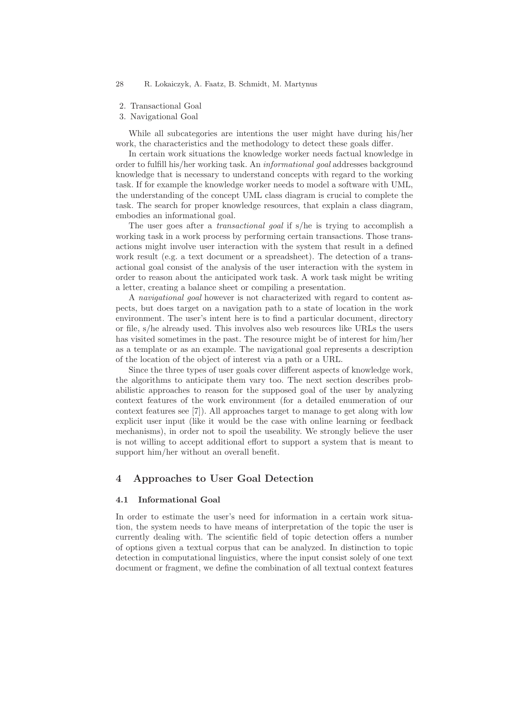- 2. Transactional Goal
- 3. Navigational Goal

While all subcategories are intentions the user might have during his/her work, the characteristics and the methodology to detect these goals differ.

In certain work situations the knowledge worker needs factual knowledge in order to fulfill his/her working task. An informational goal addresses background knowledge that is necessary to understand concepts with regard to the working task. If for example the knowledge worker needs to model a software with UML, the understanding of the concept UML class diagram is crucial to complete the task. The search for proper knowledge resources, that explain a class diagram, embodies an informational goal.

The user goes after a *transactional goal* if s/he is trying to accomplish a working task in a work process by performing certain transactions. Those transactions might involve user interaction with the system that result in a defined work result (e.g. a text document or a spreadsheet). The detection of a transactional goal consist of the analysis of the user interaction with the system in order to reason about the anticipated work task. A work task might be writing a letter, creating a balance sheet or compiling a presentation.

A navigational goal however is not characterized with regard to content aspects, but does target on a navigation path to a state of location in the work environment. The user's intent here is to find a particular document, directory or file, s/he already used. This involves also web resources like URLs the users has visited sometimes in the past. The resource might be of interest for him/her as a template or as an example. The navigational goal represents a description of the location of the object of interest via a path or a URL.

Since the three types of user goals cover different aspects of knowledge work, the algorithms to anticipate them vary too. The next section describes probabilistic approaches to reason for the supposed goal of the user by analyzing context features of the work environment (for a detailed enumeration of our context features see [7]). All approaches target to manage to get along with low explicit user input (like it would be the case with online learning or feedback mechanisms), in order not to spoil the useability. We strongly believe the user is not willing to accept additional effort to support a system that is meant to support him/her without an overall benefit.

# **4 Approaches to User Goal Detection**

### **4.1 Informational Goal**

In order to estimate the user's need for information in a certain work situation, the system needs to have means of interpretation of the topic the user is currently dealing with. The scientific field of topic detection offers a number of options given a textual corpus that can be analyzed. In distinction to topic detection in computational linguistics, where the input consist solely of one text document or fragment, we define the combination of all textual context features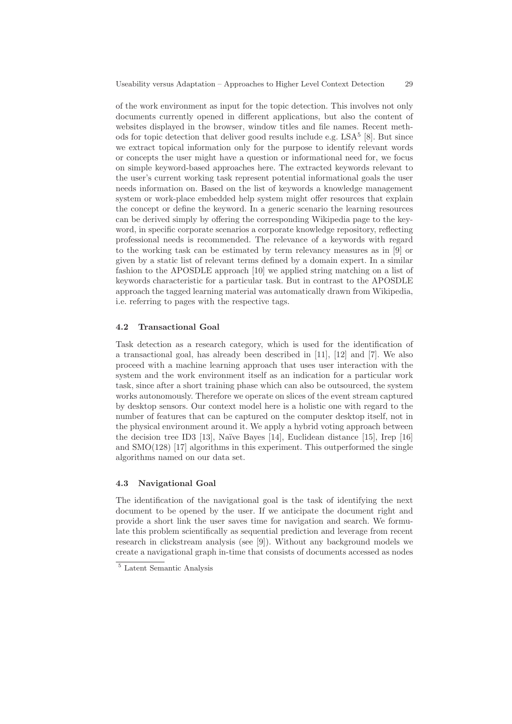of the work environment as input for the topic detection. This involves not only documents currently opened in different applications, but also the content of websites displayed in the browser, window titles and file names. Recent methods for topic detection that deliver good results include e.g.  $LSA<sup>5</sup>$  [8]. But since we extract topical information only for the purpose to identify relevant words or concepts the user might have a question or informational need for, we focus on simple keyword-based approaches here. The extracted keywords relevant to the user's current working task represent potential informational goals the user needs information on. Based on the list of keywords a knowledge management system or work-place embedded help system might offer resources that explain the concept or define the keyword. In a generic scenario the learning resources can be derived simply by offering the corresponding Wikipedia page to the keyword, in specific corporate scenarios a corporate knowledge repository, reflecting professional needs is recommended. The relevance of a keywords with regard to the working task can be estimated by term relevancy measures as in [9] or given by a static list of relevant terms defined by a domain expert. In a similar fashion to the APOSDLE approach [10] we applied string matching on a list of keywords characteristic for a particular task. But in contrast to the APOSDLE approach the tagged learning material was automatically drawn from Wikipedia, i.e. referring to pages with the respective tags.

#### **4.2 Transactional Goal**

Task detection as a research category, which is used for the identification of a transactional goal, has already been described in [11], [12] and [7]. We also proceed with a machine learning approach that uses user interaction with the system and the work environment itself as an indication for a particular work task, since after a short training phase which can also be outsourced, the system works autonomously. Therefore we operate on slices of the event stream captured by desktop sensors. Our context model here is a holistic one with regard to the number of features that can be captured on the computer desktop itself, not in the physical environment around it. We apply a hybrid voting approach between the decision tree ID3 [13], Naïve Bayes [14], Euclidean distance [15], Irep [16] and SMO(128) [17] algorithms in this experiment. This outperformed the single algorithms named on our data set.

#### **4.3 Navigational Goal**

The identification of the navigational goal is the task of identifying the next document to be opened by the user. If we anticipate the document right and provide a short link the user saves time for navigation and search. We formulate this problem scientifically as sequential prediction and leverage from recent research in clickstream analysis (see [9]). Without any background models we create a navigational graph in-time that consists of documents accessed as nodes

<sup>5</sup> Latent Semantic Analysis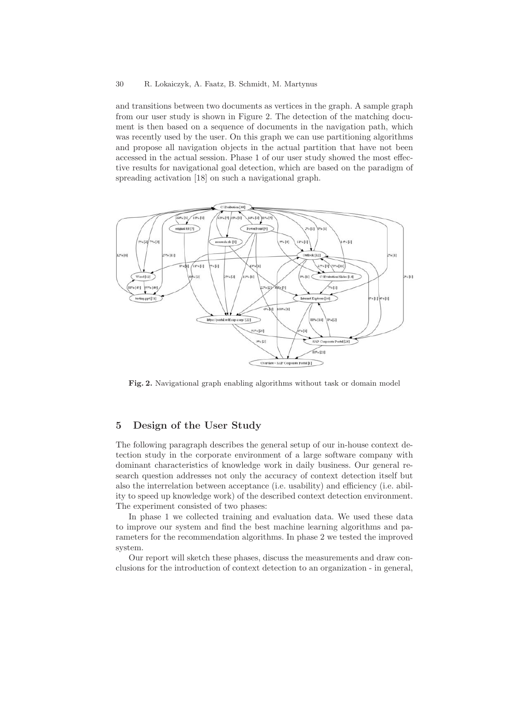#### 30 R. Lokaiczyk, A. Faatz, B. Schmidt, M. Martynus

and transitions between two documents as vertices in the graph. A sample graph from our user study is shown in Figure 2. The detection of the matching document is then based on a sequence of documents in the navigation path, which was recently used by the user. On this graph we can use partitioning algorithms and propose all navigation objects in the actual partition that have not been accessed in the actual session. Phase 1 of our user study showed the most effective results for navigational goal detection, which are based on the paradigm of spreading activation [18] on such a navigational graph.



**Fig. 2.** Navigational graph enabling algorithms without task or domain model

# **5 Design of the User Study**

The following paragraph describes the general setup of our in-house context detection study in the corporate environment of a large software company with dominant characteristics of knowledge work in daily business. Our general research question addresses not only the accuracy of context detection itself but also the interrelation between acceptance (i.e. usability) and efficiency (i.e. ability to speed up knowledge work) of the described context detection environment. The experiment consisted of two phases:

In phase 1 we collected training and evaluation data. We used these data to improve our system and find the best machine learning algorithms and parameters for the recommendation algorithms. In phase 2 we tested the improved system.

Our report will sketch these phases, discuss the measurements and draw conclusions for the introduction of context detection to an organization - in general,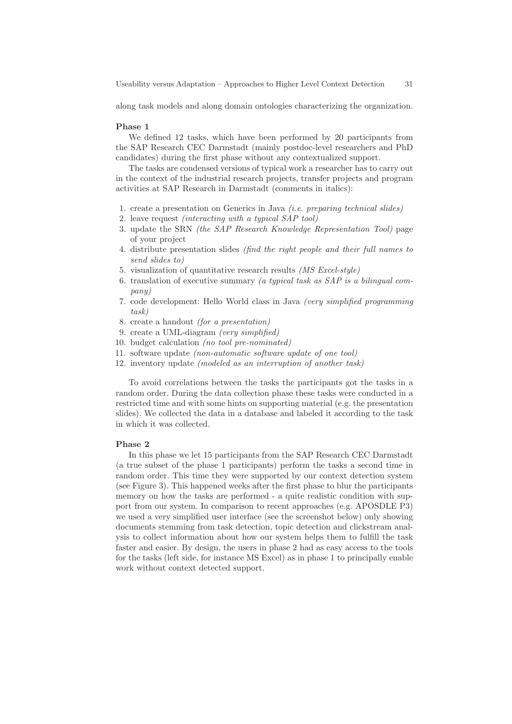along task models and along domain ontologies characterizing the organization.

#### **Phase 1**

We defined 12 tasks, which have been performed by 20 participants from the SAP Research CEC Darmstadt (mainly postdoc-level researchers and PhD candidates) during the first phase without any contextualized support.

The tasks are condensed versions of typical work a researcher has to carry out in the context of the industrial research projects, transfer projects and program activities at SAP Research in Darmstadt (comments in italics):

- 1. create a presentation on Generics in Java (i.e. preparing technical slides)
- 2. leave request (interacting with a typical SAP tool)
- 3. update the SRN (the SAP Research Knowledge Representation Tool) page of your project
- 4. distribute presentation slides (find the right people and their full names to send slides to)
- 5. visualization of quantitative research results (MS Excel-style)
- 6. translation of executive summary (a typical task as SAP is a bilingual company)
- 7. code development: Hello World class in Java (very simplified programming task)
- 8. create a handout (for a presentation)
- 9. create a UML-diagram (very simplified)
- 10. budget calculation (no tool pre-nominated)
- 11. software update (non-automatic software update of one tool)
- 12. inventory update (modeled as an interruption of another task)

To avoid correlations between the tasks the participants got the tasks in a random order. During the data collection phase these tasks were conducted in a restricted time and with some hints on supporting material (e.g. the presentation slides). We collected the data in a database and labeled it according to the task in which it was collected.

#### **Phase 2**

In this phase we let 15 participants from the SAP Research CEC Darmstadt (a true subset of the phase 1 participants) perform the tasks a second time in random order. This time they were supported by our context detection system (see Figure 3). This happened weeks after the first phase to blur the participants memory on how the tasks are performed - a quite realistic condition with support from our system. In comparison to recent approaches (e.g. APOSDLE P3) we used a very simplified user interface (see the screenshot below) only showing documents stemming from task detection, topic detection and clickstream analysis to collect information about how our system helps them to fulfill the task faster and easier. By design, the users in phase 2 had as easy access to the tools for the tasks (left side, for instance MS Excel) as in phase 1 to principally enable work without context detected support.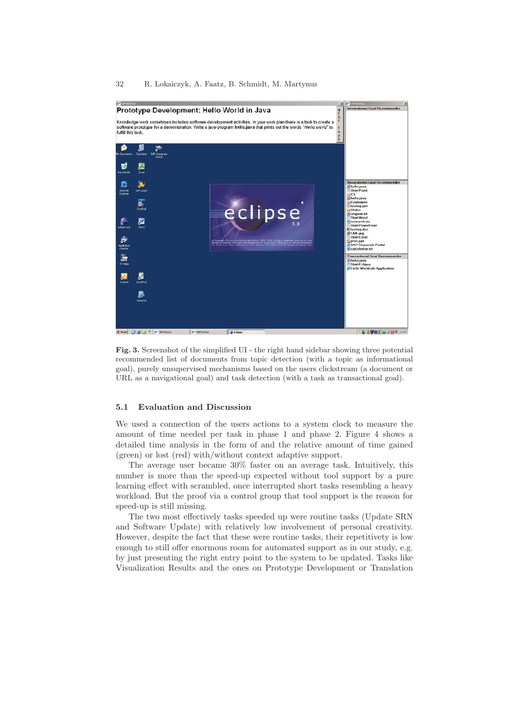#### 32 R. Lokaiczyk, A. Faatz, B. Schmidt, M. Martynus



**Fig. 3.** Screenshot of the simplified UI - the right hand sidebar showing three potential recommended list of documents from topic detection (with a topic as informational goal), purely unsupervised mechanisms based on the users clickstream (a document or URL as a navigational goal) and task detection (with a task as transactional goal).

#### **5.1 Evaluation and Discussion**

We used a connection of the users actions to a system clock to measure the amount of time needed per task in phase 1 and phase 2. Figure 4 shows a detailed time analysis in the form of and the relative amount of time gained (green) or lost (red) with/without context adaptive support.

The average user became 30% faster on an average task. Intuitively, this number is more than the speed-up expected without tool support by a pure learning effect with scrambled, once interrupted short tasks resembling a heavy workload. But the proof via a control group that tool support is the reason for speed-up is still missing.

The two most effectively tasks speeded up were routine tasks (Update SRN and Software Update) with relatively low involvement of personal creativity. However, despite the fact that these were routine tasks, their repetitivety is low enough to still offer enormous room for automated support as in our study, e.g. by just presenting the right entry point to the system to be updated. Tasks like Visualization Results and the ones on Prototype Development or Translation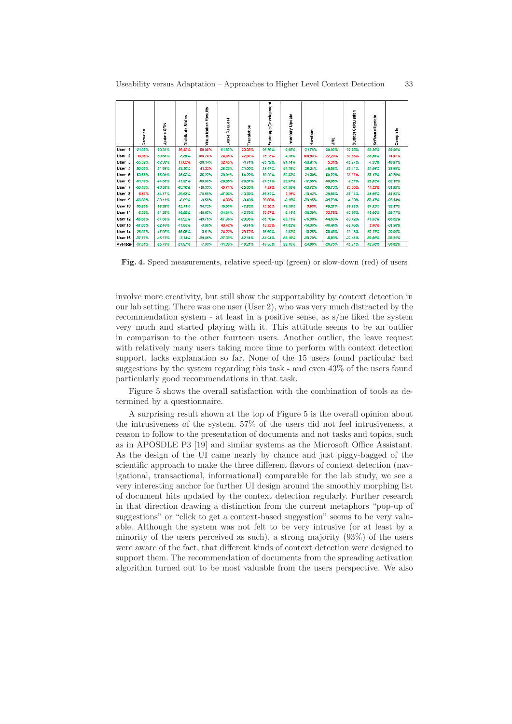|                   | Gemerics  | SRN<br>Update: | Slides<br>Distribute | Results<br>Visualization | Request<br>eave<br>∍ | Translation | evelopment<br>ó<br>۰<br>Prototyp | Update<br>Inventory | Handout    | š         | alculation<br>Ü<br>Budget <sup>(</sup> | Software Update | Complete  |
|-------------------|-----------|----------------|----------------------|--------------------------|----------------------|-------------|----------------------------------|---------------------|------------|-----------|----------------------------------------|-----------------|-----------|
| User 1            | $-21.05%$ | $-70.31%$      | 36.42%               | 69.05%                   | -61.63%              | 33,33%      | -36.76%                          | $-0.85%$            | -31.76%    | -39.92%   | -32.75%                                | -69.38%         | $-29.96%$ |
| User <sub>2</sub> | 13,59%    | -60,63%        | $-8.89%$             | 158.20%                  | 24,38%               | 32,52%      | 28.13%                           | $-4.19%$            | 105.93%    | 22,20%    | 33,93%                                 | -39.89%         | 14.97%    |
| User 3            | -55,59%   | -62,33%        | 17.65%               | $-20.14%$                | 32,45%               | $-1.74%$    | $-25,12\%$                       | $-24.14%$           | -58.91%    | 5,31%     | $-10,97%$                              | $-7,33\%$       | $-18.91%$ |
| User 4            | -50.00%   | -51.56%        | -53.40%              | 41.22%                   | -28.30%              | -31,00%     | $-18,57%$                        | -51.75%             | $-26.24%$  | -49.53%   | -35,41%                                | -51.56%         | -33.69%   |
| User 5            | -53.55%   | -55.81%        | -35.03%              | $-36.27%$                | -39.01%              | $-54.22%$   | -58,89%                          | -56.33%             | -31,30%    | -50.72%   | 66,67%                                 | -55.17%         | 42.78%    |
| User 6            | $-61,19%$ | $-74,88%$      | $-11.97%$            | -59,88%                  | $-29,05%$            | $-23.87%$   | $-24.51%$                        | $-22.97%$           | $-17.65%$  | -33,05%   | $-2,67%$                               | $-26.83%$       | $-32.13%$ |
| User 7            | -50.48%   | -93.52%        | -63.70%              | $-10.33\%$               | 45.71%               | -25.65%     | 4,22%                            | -57.58%             | -53.72%    | -36,73%   | 23,60%                                 | 11.22%          | -31.92%   |
| User 8            | 6.83%     | -84.77%        | -29.53%              | $-78.89%$                | -47.00%              | $-10.39%$   | -55.81%                          | 2.16%               | $-10.42%$  | $-29.54%$ | -36.14%                                | 48.56%          | 41.62%    |
| User 9            | -66.88%   | $-33.11%$      | -6.02%               | $-0.50%$                 | 4,33%                | $-0.48%$    | 39.08%                           | $-6.15%$            | $-79.15%$  | $-31.79%$ | $-4.03%$                               | -53,47%         | $-25.14%$ |
| User 10           | -30,60%   | -55,26%        | $-62.41%$            | -34,72%                  | $-10,90\%$           | -47.62%     | 12,39%                           | -45,19%             | 3,83%      | $-59.27%$ | -35,78%                                | -54,82%         | -32.17%   |
| User 11           | -5,29%    | $-81,25%$      | $-16.99%$            | -40.67%                  | -34,84%              | -42,79%     | 33.97%                           | $-5,11%$            | -38.39%    | 32,76%    | -42,66%                                | -45,00%         | $-29.77%$ |
| User 12           | -55.85%   | -87.85%        | -51.92%              | -49.76%                  | -57.36%              | $-29.06%$   | $-85.16%$                        | -59.71%             | $-76.80\%$ | -54.53%   | -59.42%                                | $-76.53\%$      | -58.82%   |
| User 13           | -67.00%   | -82.46%        | 71.63%               | $-3.88%$                 | 43.42%               | $-9.74%$    | 13.22%                           | $-41.52%$           | $-14.38\%$ | $-38.44%$ | -62.46%                                | 2.58%           | -31.98%   |
| User 14           | $-26.97%$ | -47.92%        | -55.06%              | $-3.61%$                 | 24,22%               | 29,72%      | -36,50%                          | $-2,82%$            | $-10.26%$  | -30.43%   | $-19,18%$                              | $-62.17%$       | -20,00%   |
| User 15           | -37.77%   | $-45.13%$      | $-7.14%$             | $-29,46%$                | -37,33%              | -62.14%     | -54.94%                          | -60,16%             | -30.70%    | -6,83%    | -22,44%                                | -60,66%         | -38.32%   |
| Average           | $-37.51%$ | -85.79%        | $-27.97%$            | $-7.83%$                 | $-11.39%$            | $-16.21%$   | $-18.35%$                        | $-29.15%$           | $-24.60\%$ | $-26.70%$ | $-15.91%$                              | 42.50%          | -30.02%   |

**Fig. 4.** Speed measurements, relative speed-up (green) or slow-down (red) of users

involve more creativity, but still show the supportability by context detection in our lab setting. There was one user (User 2), who was very much distracted by the recommendation system - at least in a positive sense, as s/he liked the system very much and started playing with it. This attitude seems to be an outlier in comparison to the other fourteen users. Another outlier, the leave request with relatively many users taking more time to perform with context detection support, lacks explanation so far. None of the 15 users found particular bad suggestions by the system regarding this task - and even 43% of the users found particularly good recommendations in that task.

Figure 5 shows the overall satisfaction with the combination of tools as determined by a questionnaire.

A surprising result shown at the top of Figure 5 is the overall opinion about the intrusiveness of the system. 57% of the users did not feel intrusiveness, a reason to follow to the presentation of documents and not tasks and topics, such as in APOSDLE P3 [19] and similar systems as the Microsoft Office Assistant. As the design of the UI came nearly by chance and just piggy-bagged of the scientific approach to make the three different flavors of context detection (navigational, transactional, informational) comparable for the lab study, we see a very interesting anchor for further UI design around the smoothly morphing list of document hits updated by the context detection regularly. Further research in that direction drawing a distinction from the current metaphors "pop-up of suggestions" or "click to get a context-based suggestion" seems to be very valuable. Although the system was not felt to be very intrusive (or at least by a minority of the users perceived as such), a strong majority (93%) of the users were aware of the fact, that different kinds of context detection were designed to support them. The recommendation of documents from the spreading activation algorithm turned out to be most valuable from the users perspective. We also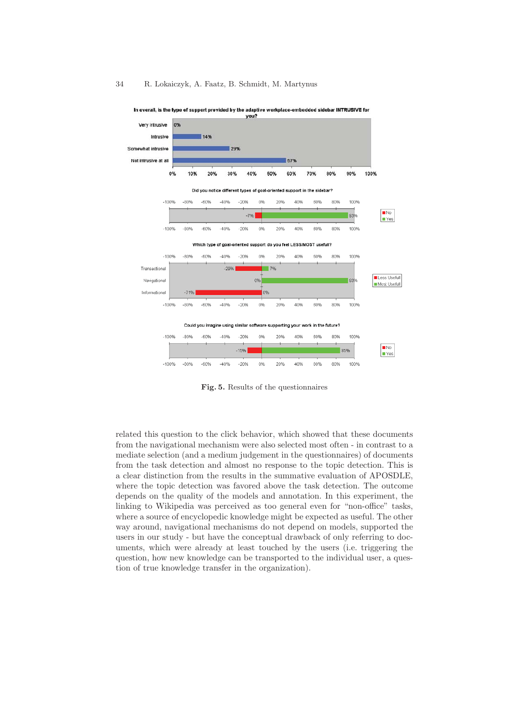

In overall, is the type of support provided by the adaptive workplace-embedded sidebar INTRUSIVE for you?

**Fig. 5.** Results of the questionnaires

related this question to the click behavior, which showed that these documents from the navigational mechanism were also selected most often - in contrast to a mediate selection (and a medium judgement in the questionnaires) of documents from the task detection and almost no response to the topic detection. This is a clear distinction from the results in the summative evaluation of APOSDLE, where the topic detection was favored above the task detection. The outcome depends on the quality of the models and annotation. In this experiment, the linking to Wikipedia was perceived as too general even for "non-office" tasks, where a source of encyclopedic knowledge might be expected as useful. The other way around, navigational mechanisms do not depend on models, supported the users in our study - but have the conceptual drawback of only referring to documents, which were already at least touched by the users (i.e. triggering the question, how new knowledge can be transported to the individual user, a question of true knowledge transfer in the organization).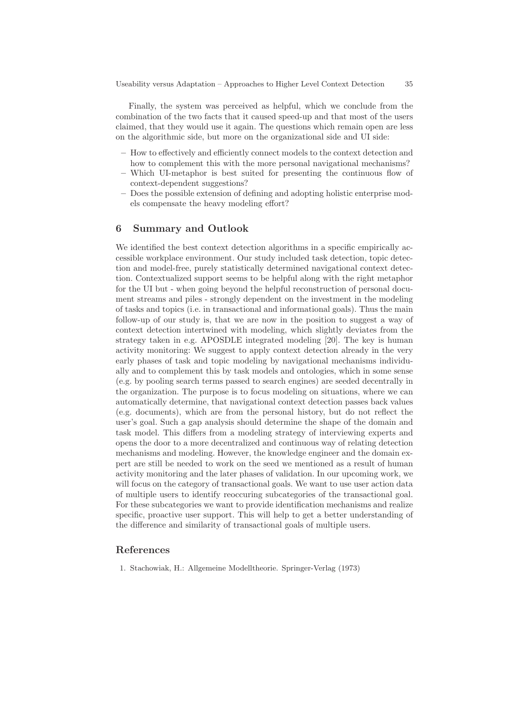Finally, the system was perceived as helpful, which we conclude from the combination of the two facts that it caused speed-up and that most of the users claimed, that they would use it again. The questions which remain open are less on the algorithmic side, but more on the organizational side and UI side:

- **–** How to effectively and efficiently connect models to the context detection and how to complement this with the more personal navigational mechanisms?
- **–** Which UI-metaphor is best suited for presenting the continuous flow of context-dependent suggestions?
- **–** Does the possible extension of defining and adopting holistic enterprise models compensate the heavy modeling effort?

#### **6 Summary and Outlook**

We identified the best context detection algorithms in a specific empirically accessible workplace environment. Our study included task detection, topic detection and model-free, purely statistically determined navigational context detection. Contextualized support seems to be helpful along with the right metaphor for the UI but - when going beyond the helpful reconstruction of personal document streams and piles - strongly dependent on the investment in the modeling of tasks and topics (i.e. in transactional and informational goals). Thus the main follow-up of our study is, that we are now in the position to suggest a way of context detection intertwined with modeling, which slightly deviates from the strategy taken in e.g. APOSDLE integrated modeling [20]. The key is human activity monitoring: We suggest to apply context detection already in the very early phases of task and topic modeling by navigational mechanisms individually and to complement this by task models and ontologies, which in some sense (e.g. by pooling search terms passed to search engines) are seeded decentrally in the organization. The purpose is to focus modeling on situations, where we can automatically determine, that navigational context detection passes back values (e.g. documents), which are from the personal history, but do not reflect the user's goal. Such a gap analysis should determine the shape of the domain and task model. This differs from a modeling strategy of interviewing experts and opens the door to a more decentralized and continuous way of relating detection mechanisms and modeling. However, the knowledge engineer and the domain expert are still be needed to work on the seed we mentioned as a result of human activity monitoring and the later phases of validation. In our upcoming work, we will focus on the category of transactional goals. We want to use user action data of multiple users to identify reoccuring subcategories of the transactional goal. For these subcategories we want to provide identification mechanisms and realize specific, proactive user support. This will help to get a better understanding of the difference and similarity of transactional goals of multiple users.

# **References**

1. Stachowiak, H.: Allgemeine Modelltheorie. Springer-Verlag (1973)